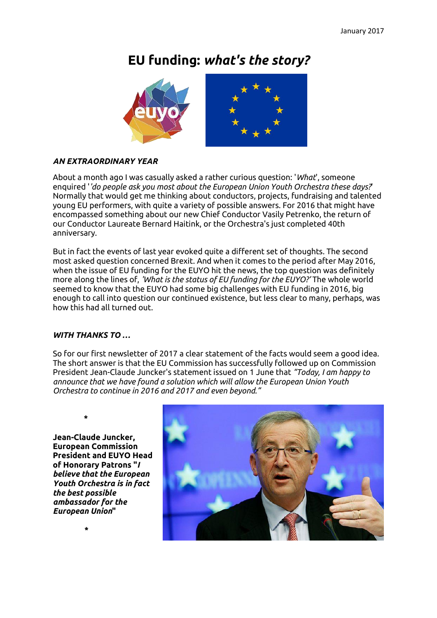# **EU funding:** *what's the story?*



### *AN EXTRAORDINARY YEAR*

About a month ago I was casually asked a rather curious question: '*What*', someone enquired '*'do people ask you most about the European Union Youth Orchestra these days?*' Normally that would get me thinking about conductors, projects, fundraising and talented young EU performers, with quite a variety of possible answers. For 2016 that might have encompassed something about our new Chief Conductor Vasily Petrenko, the return of our Conductor Laureate Bernard Haitink, or the Orchestra's just completed 40th anniversary.

But in fact the events of last year evoked quite a different set of thoughts. The second most asked question concerned Brexit. And when it comes to the period after May 2016, when the issue of EU funding for the EUYO hit the news, the top question was definitely more along the lines of, *'What is the status of EU funding for the EUYO?'* The whole world seemed to know that the EUYO had some big challenges with EU funding in 2016, big enough to call into question our continued existence, but less clear to many, perhaps, was how this had all turned out.

#### *WITH THANKS TO …*

So for our first newsletter of 2017 a clear statement of the facts would seem a good idea. The short answer is that the EU Commission has successfully followed up on Commission President Jean-Claude Juncker's statement issued on 1 June that *"Today, I am happy to announce that we have found a solution which will allow the European Union Youth Orchestra to continue in 2016 and 2017 and even beyond."*

 **\*** 

**\***

**Jean-Claude Juncker, European Commission President and EUYO Head of Honorary Patrons "***I believe that the European Youth Orchestra is in fact the best possible ambassador for the European Union***"**